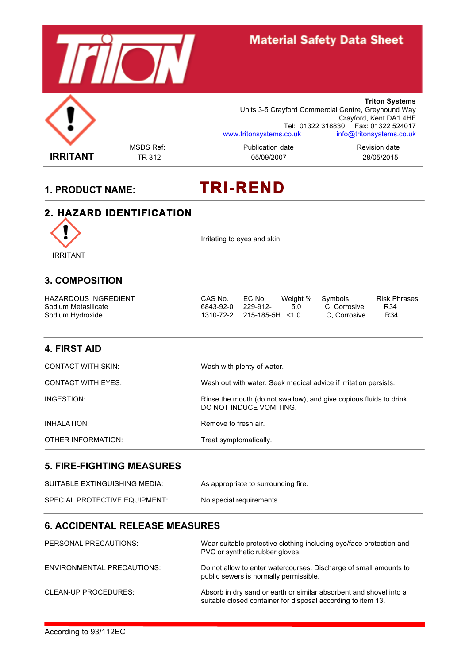

# **Material Safety Data Sheet**

**Triton Systems** Units 3-5 Crayford Commercial Centre, Greyhound Way Crayford, Kent DA1 4HF Tel: 01322 318830 Fax: 01322 524017 www.tritonsystems.co.uk info@tritonsystems.co.uk

**IRRITANT** TR 312 05/09/2007 28/05/2015

MSDS Ref: external metal publication date and revision date Revision date

# **1. PRODUCT NAME: TRI-REND**

#### **2. HAZARD IDENTIFICATION**



Irritating to eyes and skin

#### **3. COMPOSITION**

| <b>HAZARDOUS INGREDIENT</b> | CAS No.                   | EC No. | Weight % Symbols |              | <b>Risk Phrases</b> |
|-----------------------------|---------------------------|--------|------------------|--------------|---------------------|
| Sodium Metasilicate         | 6843-92-0 229-912-        |        | - 5.0            | C. Corrosive | R34                 |
| Sodium Hydroxide            | 1310-72-2 215-185-5H <1.0 |        |                  | C. Corrosive | R34                 |

#### **4. FIRST AID**

| <b>CONTACT WITH SKIN:</b> | Wash with plenty of water.                                                                     |
|---------------------------|------------------------------------------------------------------------------------------------|
| CONTACT WITH EYES.        | Wash out with water. Seek medical advice if irritation persists.                               |
| INGESTION:                | Rinse the mouth (do not swallow), and give copious fluids to drink.<br>DO NOT INDUCE VOMITING. |
| INHALATION:               | Remove to fresh air.                                                                           |
| OTHER INFORMATION:        | Treat symptomatically.                                                                         |

#### **5. FIRE-FIGHTING MEASURES**

| SUITABLE EXTINGUISHING MEDIA: | As appropriate to surrounding fire. |
|-------------------------------|-------------------------------------|
| SPECIAL PROTECTIVE EQUIPMENT: | No special requirements.            |

#### **6. ACCIDENTAL RELEASE MEASURES**

| PERSONAL PRECAUTIONS:             | Wear suitable protective clothing including eye/face protection and<br>PVC or synthetic rubber gloves.                             |
|-----------------------------------|------------------------------------------------------------------------------------------------------------------------------------|
| <b>ENVIRONMENTAL PRECAUTIONS:</b> | Do not allow to enter watercourses. Discharge of small amounts to<br>public sewers is normally permissible.                        |
| CLEAN-UP PROCEDURES:              | Absorb in dry sand or earth or similar absorbent and shovel into a<br>suitable closed container for disposal according to item 13. |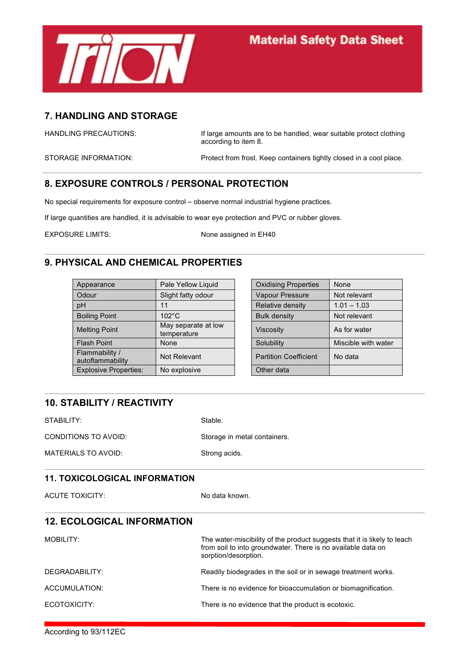

#### **7. HANDLING AND STORAGE**

HANDLING PRECAUTIONS: If large amounts are to be handled, wear suitable protect clothing according to item 8.

STORAGE INFORMATION: Protect from frost. Keep containers tightly closed in a cool place.

### **8. EXPOSURE CONTROLS / PERSONAL PROTECTION**

No special requirements for exposure control – observe normal industrial hygiene practices.

If large quantities are handled, it is advisable to wear eye protection and PVC or rubber gloves.

EXPOSURE LIMITS: None assigned in EH40

#### **9. PHYSICAL AND CHEMICAL PROPERTIES**

| Appearance                         | Pale Yellow Liquid                 | <b>Oxidising Properties</b>  | None                |
|------------------------------------|------------------------------------|------------------------------|---------------------|
| Odour                              | Slight fatty odour                 | Vapour Pressure              | Not relevant        |
| pH                                 | 11                                 | Relative density             | $1.01 - 1.03$       |
| <b>Boiling Point</b>               | $102^{\circ}$ C                    | <b>Bulk density</b>          | Not relevant        |
| <b>Melting Point</b>               | May separate at low<br>temperature | <b>Viscosity</b>             | As for water        |
| <b>Flash Point</b>                 | None                               | Solubility                   | Miscible with water |
| Flammability /<br>autoflammability | Not Relevant                       | <b>Partition Coefficient</b> | No data             |
| <b>Explosive Properties:</b>       | No explosive                       | Other data                   |                     |

| Pale Yellow Liquid                 | <b>Oxidising Properties</b>  | None                |
|------------------------------------|------------------------------|---------------------|
| Slight fatty odour                 | Vapour Pressure              | Not relevant        |
| 11                                 | Relative density             | $1.01 - 1.03$       |
| $102^{\circ}$ C                    | <b>Bulk density</b>          | Not relevant        |
| May separate at low<br>temperature | <b>Viscosity</b>             | As for water        |
| None                               | Solubility                   | Miscible with water |
| Not Relevant                       | <b>Partition Coefficient</b> | No data             |
| No explosive                       | Other data                   |                     |

### **10. STABILITY / REACTIVITY**

STABILITY: Stable. CONDITIONS TO AVOID: Storage in metal containers.

MATERIALS TO AVOID: Strong acids.

#### **11. TOXICOLOGICAL INFORMATION**

ACUTE TOXICITY: No data known.

| <b>12. ECOLOGICAL INFORMATION</b> |                                                                                                                                                                  |
|-----------------------------------|------------------------------------------------------------------------------------------------------------------------------------------------------------------|
| MOBILITY:                         | The water-miscibility of the product suggests that it is likely to leach<br>from soil to into groundwater. There is no available data on<br>sorption/desorption. |
| DEGRADABILITY:                    | Readily biodegrades in the soil or in sewage treatment works.                                                                                                    |
| ACCUMULATION:                     | There is no evidence for bioaccumulation or biomagnification.                                                                                                    |
| ECOTOXICITY:                      | There is no evidence that the product is ecotoxic.                                                                                                               |

According to 93/112EC